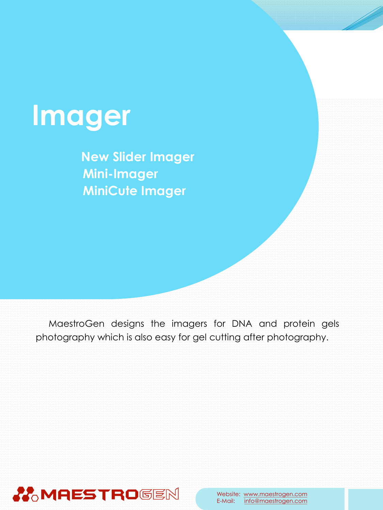

**New Slider Imager Mini-Imager MiniCute Imager**

MaestroGen designs the imagers for DNA and protein gels photography which is also easy for gel cutting after photography.

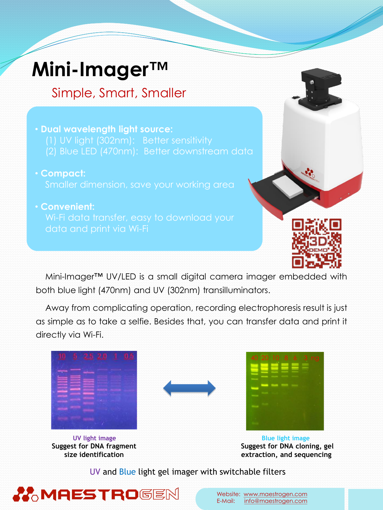## **Mini-Imager™**

#### Simple, Smart, Smaller

- **Dual wavelength light source:** (2) Blue LED (470nm): Better downstream data
- **Compact:**
- **Convenient:**



Mini-Imager™ UV/LED is a small digital camera imager embedded with both blue light (470nm) and UV (302nm) transilluminators.

Away from complicating operation, recording electrophoresis result is just as simple as to take a selfie. Besides that, you can transfer data and print it directly via Wi-Fi.

|          | __<br>۵ | -                        | _ | __ |  |
|----------|---------|--------------------------|---|----|--|
| a s<br>ш |         | <b>Contract Contract</b> |   |    |  |
|          |         |                          |   |    |  |
| œ        |         |                          |   |    |  |

**UV light image Suggest for DNA fragment size identification**





**Blue light image Suggest for DNA cloning, gel extraction, and sequencing** 

UV and Blue light gel imager with switchable filters

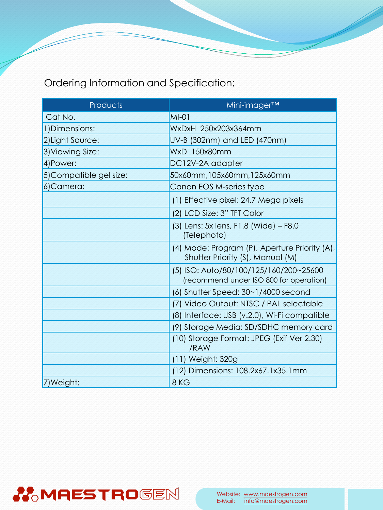Ordering Information and Specification:

| Products               | Mini-imager <sup>™</sup>                                                          |  |  |
|------------------------|-----------------------------------------------------------------------------------|--|--|
| Cat No.                | $MI-01$                                                                           |  |  |
| 1) Dimensions:         | WxDxH 250x203x364mm                                                               |  |  |
| 2) Light Source:       | UV-B (302nm) and LED (470nm)                                                      |  |  |
| 3) Viewing Size:       | WxD 150x80mm                                                                      |  |  |
| 4) Power:              | DC12V-2A adapter                                                                  |  |  |
| 5)Compatible gel size: | 50x60mm,105x60mm,125x60mm                                                         |  |  |
| 6)Camera:              | Canon EOS M-series type                                                           |  |  |
|                        | (1) Effective pixel: 24.7 Mega pixels                                             |  |  |
|                        | (2) LCD Size: 3" TFT Color                                                        |  |  |
|                        | (3) Lens: 5x lens, F1.8 (Wide) – F8.0<br>(Telephoto)                              |  |  |
|                        | (4) Mode: Program (P), Aperture Priority (A),<br>Shutter Priority (S), Manual (M) |  |  |
|                        | (5) ISO: Auto/80/100/125/160/200~25600<br>(recommend under ISO 800 for operation) |  |  |
|                        | $(6)$ Shutter Speed: $30~1/4000$ second                                           |  |  |
|                        | (7) Video Output: NTSC / PAL selectable                                           |  |  |
|                        | (8) Interface: USB (v.2.0), Wi-Fi compatible                                      |  |  |
|                        | (9) Storage Media: SD/SDHC memory card                                            |  |  |
|                        | (10) Storage Format: JPEG (Exif Ver 2.30)<br>/RAW                                 |  |  |
|                        | (11) Weight: 320g                                                                 |  |  |
|                        | (12) Dimensions: 108.2x67.1x35.1mm                                                |  |  |
| 7) Weight:             | 8KG                                                                               |  |  |

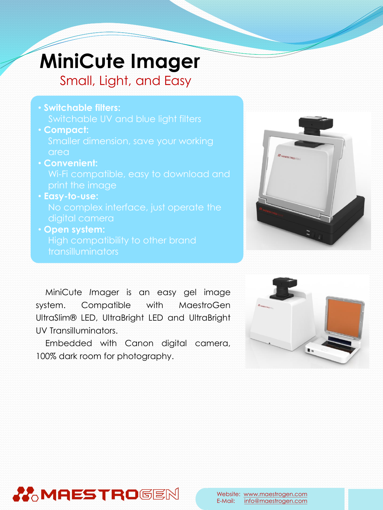# **MiniCute Imager**

Small, Light, and Easy

- **Switchable filters:**  Switchable UV and blue light filters
- **Compact:**  Smaller dimension, save your working area
- **Convenient:**
- **Easy-to-use:**
- **Open system:** transilluminators



MiniCute *I*mager is an easy gel image system. Compatible with MaestroGen UltraSlim® LED, UltraBright LED and UltraBright UV Transilluminators.

Embedded with Canon digital camera, 100% dark room for photography.



### **MAESTRO**GEN